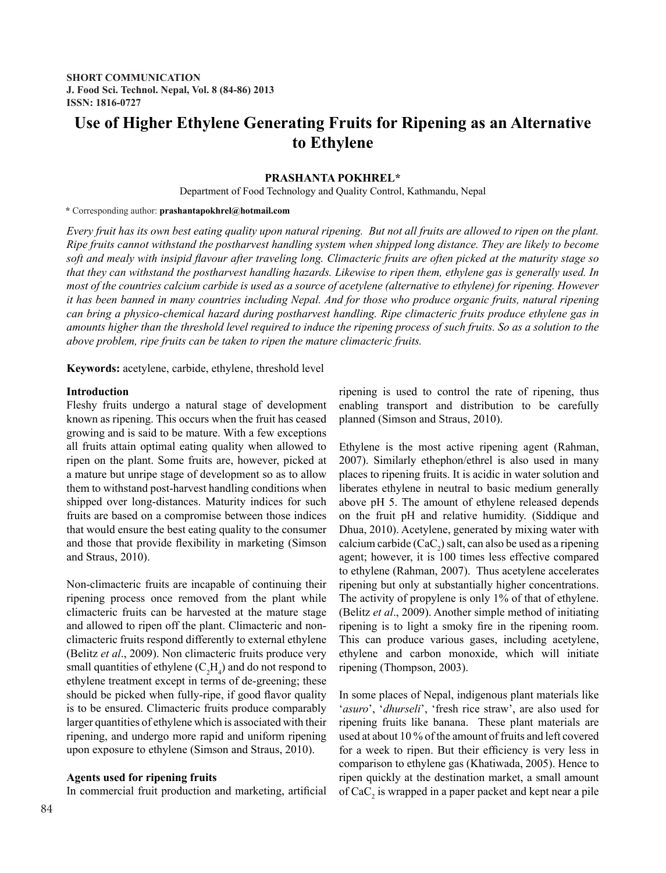# **Use of Higher Ethylene Generating Fruits for Ripening as an Alternative to Ethylene**

## **PRASHANTA POKHREL\***

Department of Food Technology and Quality Control, Kathmandu, Nepal

**\*** Corresponding author: **prashantapokhrel@hotmail.com**

*Every fruit has its own best eating quality upon natural ripening. But not all fruits are allowed to ripen on the plant. Ripe fruits cannot withstand the postharvest handling system when shipped long distance. They are likely to become soft and mealy with insipid flavour after traveling long. Climacteric fruits are often picked at the maturity stage so that they can withstand the postharvest handling hazards. Likewise to ripen them, ethylene gas is generally used. In most of the countries calcium carbide is used as a source of acetylene (alternative to ethylene) for ripening. However it has been banned in many countries including Nepal. And for those who produce organic fruits, natural ripening can bring a physico-chemical hazard during postharvest handling. Ripe climacteric fruits produce ethylene gas in amounts higher than the threshold level required to induce the ripening process of such fruits. So as a solution to the above problem, ripe fruits can be taken to ripen the mature climacteric fruits.*

**Keywords:** acetylene, carbide, ethylene, threshold level

## **Introduction**

Fleshy fruits undergo a natural stage of development known as ripening. This occurs when the fruit has ceased growing and is said to be mature. With a few exceptions all fruits attain optimal eating quality when allowed to ripen on the plant. Some fruits are, however, picked at a mature but unripe stage of development so as to allow them to withstand post-harvest handling conditions when shipped over long-distances. Maturity indices for such fruits are based on a compromise between those indices that would ensure the best eating quality to the consumer and those that provide flexibility in marketing (Simson and Straus, 2010).

Non-climacteric fruits are incapable of continuing their ripening process once removed from the plant while climacteric fruits can be harvested at the mature stage and allowed to ripen off the plant. Climacteric and nonclimacteric fruits respond differently to external ethylene (Belitz *et al*., 2009). Non climacteric fruits produce very small quantities of ethylene  $(C_2H_4)$  and do not respond to ethylene treatment except in terms of de-greening; these should be picked when fully-ripe, if good flavor quality is to be ensured. Climacteric fruits produce comparably larger quantities of ethylene which is associated with their ripening, and undergo more rapid and uniform ripening upon exposure to ethylene (Simson and Straus, 2010).

# **Agents used for ripening fruits**

In commercial fruit production and marketing, artificial

ripening is used to control the rate of ripening, thus enabling transport and distribution to be carefully planned (Simson and Straus, 2010).

Ethylene is the most active ripening agent (Rahman, 2007). Similarly ethephon/ethrel is also used in many places to ripening fruits. It is acidic in water solution and liberates ethylene in neutral to basic medium generally above pH 5. The amount of ethylene released depends on the fruit pH and relative humidity. (Siddique and Dhua, 2010). Acetylene, generated by mixing water with calcium carbide (CaC<sub>2</sub>) salt, can also be used as a ripening agent; however, it is 100 times less effective compared to ethylene (Rahman, 2007). Thus acetylene accelerates ripening but only at substantially higher concentrations. The activity of propylene is only 1% of that of ethylene. (Belitz *et al*., 2009). Another simple method of initiating ripening is to light a smoky fire in the ripening room. This can produce various gases, including acetylene, ethylene and carbon monoxide, which will initiate ripening (Thompson, 2003).

In some places of Nepal, indigenous plant materials like '*asuro*', '*dhurseli*', 'fresh rice straw', are also used for ripening fruits like banana. These plant materials are used at about 10 % of the amount of fruits and left covered for a week to ripen. But their efficiency is very less in comparison to ethylene gas (Khatiwada, 2005). Hence to ripen quickly at the destination market, a small amount of  $\text{CaC}_2$  is wrapped in a paper packet and kept near a pile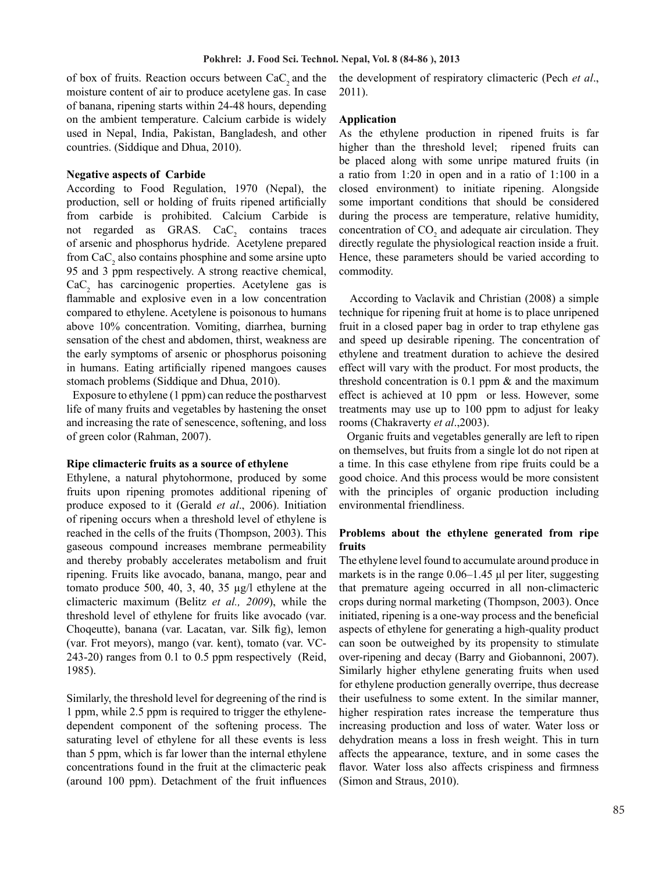of box of fruits. Reaction occurs between  $CaC<sub>2</sub>$  and the moisture content of air to produce acetylene gas. In case of banana, ripening starts within 24-48 hours, depending on the ambient temperature. Calcium carbide is widely used in Nepal, India, Pakistan, Bangladesh, and other countries. (Siddique and Dhua, 2010).

#### **Negative aspects of Carbide**

According to Food Regulation, 1970 (Nepal), the production, sell or holding of fruits ripened artificially from carbide is prohibited. Calcium Carbide is not regarded as GRAS.  $CaC_2$  contains traces of arsenic and phosphorus hydride. Acetylene prepared from  $CaC<sub>2</sub>$  also contains phosphine and some arsine upto 95 and 3 ppm respectively. A strong reactive chemical,  $CaC<sub>2</sub>$  has carcinogenic properties. Acetylene gas is flammable and explosive even in a low concentration compared to ethylene. Acetylene is poisonous to humans above 10% concentration. Vomiting, diarrhea, burning sensation of the chest and abdomen, thirst, weakness are the early symptoms of arsenic or phosphorus poisoning in humans. Eating artificially ripened mangoes causes stomach problems (Siddique and Dhua, 2010).

 Exposure to ethylene (1 ppm) can reduce the postharvest life of many fruits and vegetables by hastening the onset and increasing the rate of senescence, softening, and loss of green color (Rahman, 2007).

#### **Ripe climacteric fruits as a source of ethylene**

Ethylene, a natural phytohormone, produced by some fruits upon ripening promotes additional ripening of produce exposed to it (Gerald *et al*., 2006). Initiation of ripening occurs when a threshold level of ethylene is reached in the cells of the fruits (Thompson, 2003). This gaseous compound increases membrane permeability and thereby probably accelerates metabolism and fruit ripening. Fruits like avocado, banana, mango, pear and tomato produce 500, 40, 3, 40, 35 µg/l ethylene at the climacteric maximum (Belitz *et al., 2009*), while the threshold level of ethylene for fruits like avocado (var. Choqeutte), banana (var. Lacatan, var. Silk fig), lemon (var. Frot meyors), mango (var. kent), tomato (var. VC-243-20) ranges from 0.1 to 0.5 ppm respectively (Reid, 1985).

Similarly, the threshold level for degreening of the rind is 1 ppm, while 2.5 ppm is required to trigger the ethylenedependent component of the softening process. The saturating level of ethylene for all these events is less than 5 ppm, which is far lower than the internal ethylene concentrations found in the fruit at the climacteric peak (around 100 ppm). Detachment of the fruit influences the development of respiratory climacteric (Pech *et al*., 2011).

## **Application**

As the ethylene production in ripened fruits is far higher than the threshold level; ripened fruits can be placed along with some unripe matured fruits (in a ratio from 1:20 in open and in a ratio of 1:100 in a closed environment) to initiate ripening. Alongside some important conditions that should be considered during the process are temperature, relative humidity, concentration of  $CO<sub>2</sub>$  and adequate air circulation. They directly regulate the physiological reaction inside a fruit. Hence, these parameters should be varied according to commodity.

 According to Vaclavik and Christian (2008) a simple technique for ripening fruit at home is to place unripened fruit in a closed paper bag in order to trap ethylene gas and speed up desirable ripening. The concentration of ethylene and treatment duration to achieve the desired effect will vary with the product. For most products, the threshold concentration is  $0.1$  ppm  $\&$  and the maximum effect is achieved at 10 ppm or less. However, some treatments may use up to 100 ppm to adjust for leaky rooms (Chakraverty *et al*.,2003).

 Organic fruits and vegetables generally are left to ripen on themselves, but fruits from a single lot do not ripen at a time. In this case ethylene from ripe fruits could be a good choice. And this process would be more consistent with the principles of organic production including environmental friendliness.

# **Problems about the ethylene generated from ripe fruits**

The ethylene level found to accumulate around produce in markets is in the range 0.06–1.45 μl per liter, suggesting that premature ageing occurred in all non-climacteric crops during normal marketing (Thompson, 2003). Once initiated, ripening is a one-way process and the beneficial aspects of ethylene for generating a high-quality product can soon be outweighed by its propensity to stimulate over-ripening and decay (Barry and Giobannoni, 2007). Similarly higher ethylene generating fruits when used for ethylene production generally overripe, thus decrease their usefulness to some extent. In the similar manner, higher respiration rates increase the temperature thus increasing production and loss of water. Water loss or dehydration means a loss in fresh weight. This in turn affects the appearance, texture, and in some cases the flavor. Water loss also affects crispiness and firmness (Simon and Straus, 2010).